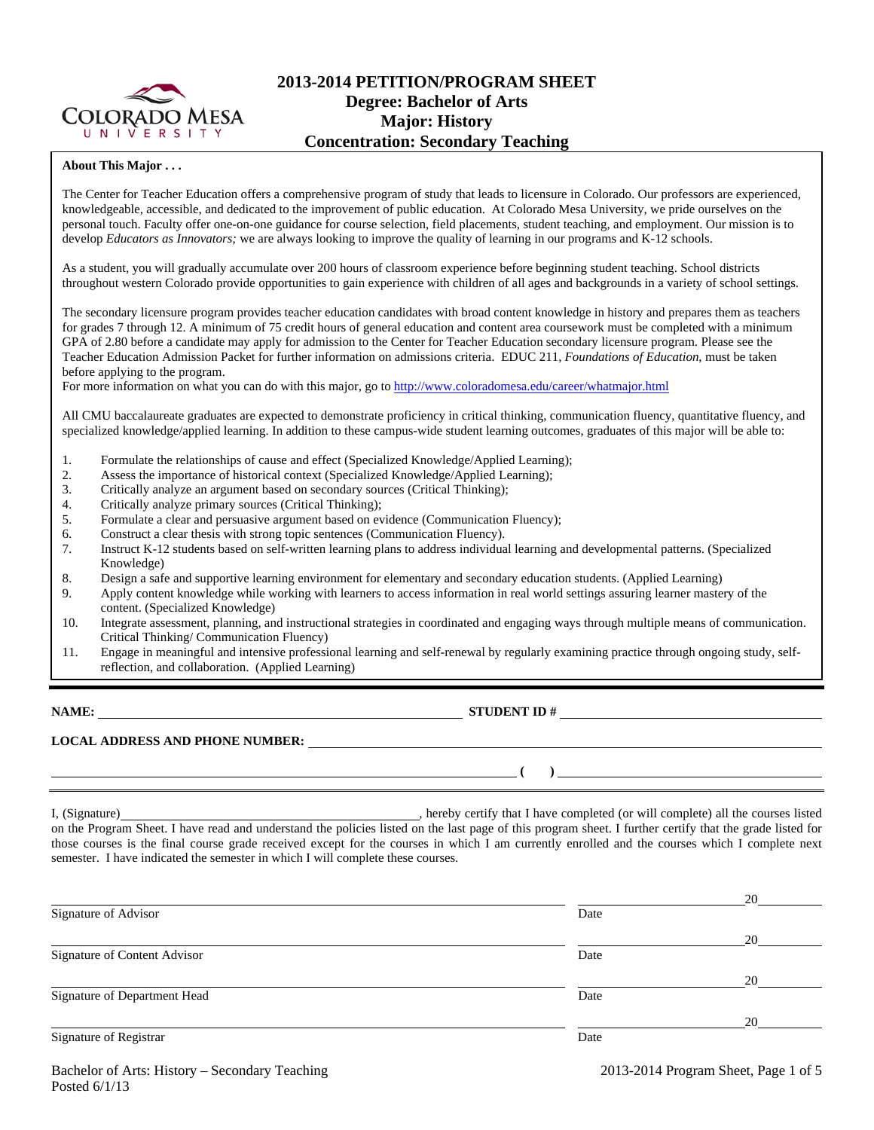

# **2013-2014 PETITION/PROGRAM SHEET Degree: Bachelor of Arts Major: History Concentration: Secondary Teaching**

## **About This Major . . .**

The Center for Teacher Education offers a comprehensive program of study that leads to licensure in Colorado. Our professors are experienced, knowledgeable, accessible, and dedicated to the improvement of public education. At Colorado Mesa University, we pride ourselves on the personal touch. Faculty offer one-on-one guidance for course selection, field placements, student teaching, and employment. Our mission is to develop *Educators as Innovators;* we are always looking to improve the quality of learning in our programs and K-12 schools.

As a student, you will gradually accumulate over 200 hours of classroom experience before beginning student teaching. School districts throughout western Colorado provide opportunities to gain experience with children of all ages and backgrounds in a variety of school settings.

The secondary licensure program provides teacher education candidates with broad content knowledge in history and prepares them as teachers for grades 7 through 12. A minimum of 75 credit hours of general education and content area coursework must be completed with a minimum GPA of 2.80 before a candidate may apply for admission to the Center for Teacher Education secondary licensure program. Please see the Teacher Education Admission Packet for further information on admissions criteria. EDUC 211, *Foundations of Education*, must be taken before applying to the program.

For more information on what you can do with this major, go to http://www.coloradomesa.edu/career/whatmajor.html

All CMU baccalaureate graduates are expected to demonstrate proficiency in critical thinking, communication fluency, quantitative fluency, and specialized knowledge/applied learning. In addition to these campus-wide student learning outcomes, graduates of this major will be able to:

- 1. Formulate the relationships of cause and effect (Specialized Knowledge/Applied Learning);
- 2. Assess the importance of historical context (Specialized Knowledge/Applied Learning);
- 3. Critically analyze an argument based on secondary sources (Critical Thinking);
- 4. Critically analyze primary sources (Critical Thinking);
- 5. Formulate a clear and persuasive argument based on evidence (Communication Fluency);
- 6. Construct a clear thesis with strong topic sentences (Communication Fluency).
- 7. Instruct K-12 students based on self-written learning plans to address individual learning and developmental patterns. (Specialized Knowledge)
- 8. Design a safe and supportive learning environment for elementary and secondary education students. (Applied Learning)
- 9. Apply content knowledge while working with learners to access information in real world settings assuring learner mastery of the content. (Specialized Knowledge)
- 10. Integrate assessment, planning, and instructional strategies in coordinated and engaging ways through multiple means of communication. Critical Thinking/ Communication Fluency)
- 11. Engage in meaningful and intensive professional learning and self-renewal by regularly examining practice through ongoing study, selfreflection, and collaboration. (Applied Learning)

**NAME: STUDENT ID #** 

 $($   $)$   $)$ 

# **LOCAL ADDRESS AND PHONE NUMBER:**

I, (Signature) , hereby certify that I have completed (or will complete) all the courses listed on the Program Sheet. I have read and understand the policies listed on the last page of this program sheet. I further certify that the grade listed for those courses is the final course grade received except for the courses in which I am currently enrolled and the courses which I complete next semester. I have indicated the semester in which I will complete these courses.

|                              |      | 20 |
|------------------------------|------|----|
| Signature of Advisor         | Date |    |
|                              |      | 20 |
| Signature of Content Advisor | Date |    |
|                              |      | 20 |
| Signature of Department Head | Date |    |
|                              |      | 20 |
| Signature of Registrar       | Date |    |
|                              |      |    |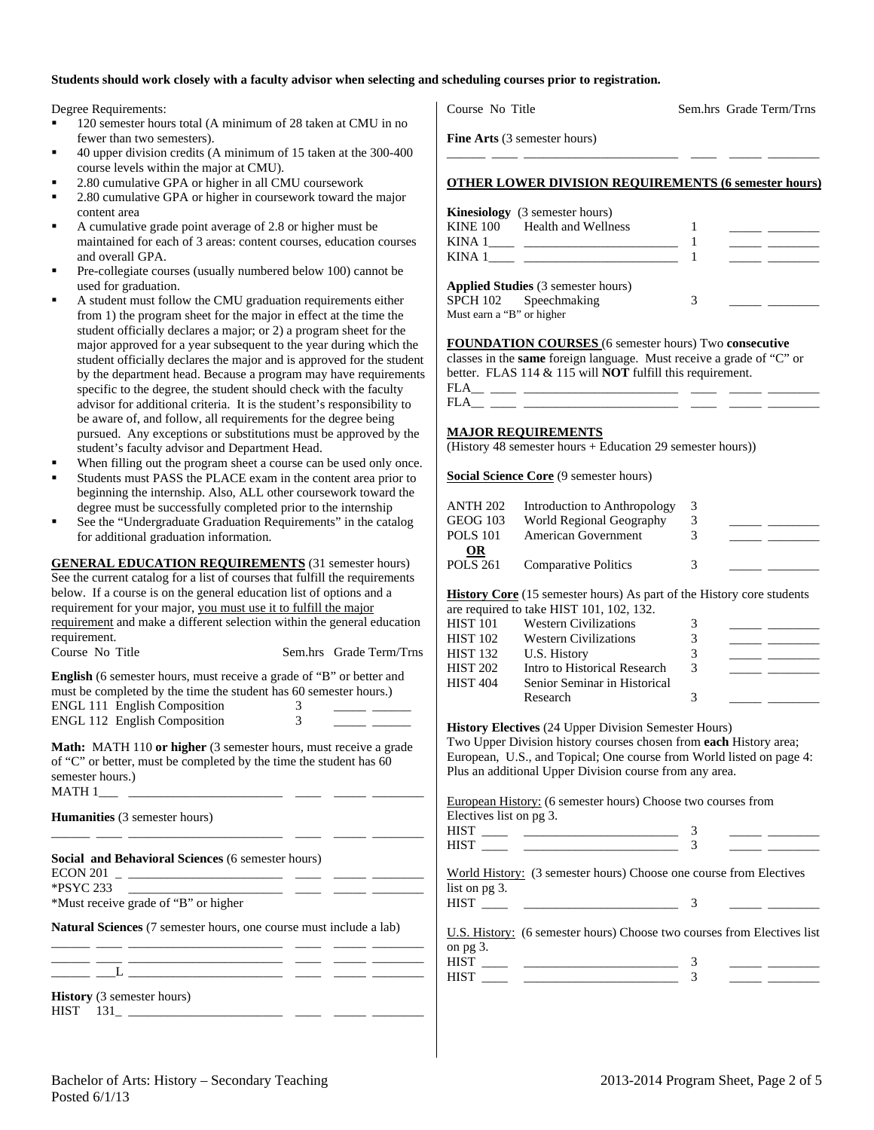## **Students should work closely with a faculty advisor when selecting and scheduling courses prior to registration.**

Degree Requirements:

- <sup>120</sup> semester hours total (A minimum of 28 taken at CMU in no fewer than two semesters).
- 40 upper division credits (A minimum of 15 taken at the 300-400 course levels within the major at CMU).
- 2.80 cumulative GPA or higher in all CMU coursework
- 2.80 cumulative GPA or higher in coursework toward the major content area
- A cumulative grade point average of 2.8 or higher must be maintained for each of 3 areas: content courses, education courses and overall GPA.
- Pre-collegiate courses (usually numbered below 100) cannot be used for graduation.
- A student must follow the CMU graduation requirements either from 1) the program sheet for the major in effect at the time the student officially declares a major; or 2) a program sheet for the major approved for a year subsequent to the year during which the student officially declares the major and is approved for the student by the department head. Because a program may have requirements specific to the degree, the student should check with the faculty advisor for additional criteria. It is the student's responsibility to be aware of, and follow, all requirements for the degree being pursued. Any exceptions or substitutions must be approved by the student's faculty advisor and Department Head.
- When filling out the program sheet a course can be used only once.
- Students must PASS the PLACE exam in the content area prior to beginning the internship. Also, ALL other coursework toward the degree must be successfully completed prior to the internship
- See the "Undergraduate Graduation Requirements" in the catalog for additional graduation information.

| <b>GENERAL EDUCATION REQUIREMENTS</b> (31 semester hours)                      |                         |
|--------------------------------------------------------------------------------|-------------------------|
| See the current catalog for a list of courses that fulfill the requirements    |                         |
| below. If a course is on the general education list of options and a           |                         |
| requirement for your major, you must use it to fulfill the major               |                         |
| requirement and make a different selection within the general education        |                         |
| requirement.                                                                   |                         |
| Course No Title                                                                | Sem.hrs Grade Term/Trns |
| English (6 semester hours, must receive a grade of "B" or better and           |                         |
| must be completed by the time the student has 60 semester hours.)              |                         |
| <b>ENGL 111 English Composition</b>                                            | 3                       |
| ENGL 112 English Composition                                                   | $\mathcal{F}$           |
|                                                                                |                         |
| <b>Math:</b> MATH 110 or higher (3 semester hours, must receive a grade        |                         |
| of "C" or better, must be completed by the time the student has 60             |                         |
| semester hours.)                                                               |                         |
| MATH 1                                                                         |                         |
|                                                                                |                         |
| <b>Humanities</b> (3 semester hours)                                           |                         |
|                                                                                |                         |
| Social and Behavioral Sciences (6 semester hours)                              |                         |
| <b>ECON 201</b><br>the control of the control of the control of the control of |                         |
| <b>*PSYC 233</b>                                                               |                         |
| *Must receive grade of "B" or higher                                           |                         |
| <b>Natural Sciences</b> (7 semester hours, one course must include a lab)      |                         |
|                                                                                |                         |
|                                                                                |                         |
|                                                                                |                         |

\_\_\_\_\_\_ \_\_\_L \_\_\_\_\_\_\_\_\_\_\_\_\_\_\_\_\_\_\_\_\_\_\_\_ \_\_\_\_ \_\_\_\_\_ \_\_\_\_\_\_\_\_

**History** (3 semester hours) HIST 131\_ \_\_\_\_\_\_\_\_\_\_\_\_\_\_\_\_\_\_\_\_\_\_\_\_ \_\_\_\_ \_\_\_\_\_ \_\_\_\_\_\_\_\_

|        | <b>OTHER LOWER DIVISION REQUIREMENTS (6 semester hours)</b> |  |
|--------|-------------------------------------------------------------|--|
|        | <b>Kinesiology</b> (3 semester hours)                       |  |
| KINA 1 | KINE 100 Health and Wellness                                |  |

KINA 1\_\_\_\_ \_\_\_\_\_\_\_\_\_\_\_\_\_\_\_\_\_\_\_\_\_\_\_\_ 1 \_\_\_\_\_ \_\_\_\_\_\_\_\_

|                           | <b>Applied Studies</b> (3 semester hours) |  |  |
|---------------------------|-------------------------------------------|--|--|
|                           | SPCH 102 Speechmaking                     |  |  |
| Must earn a "B" or higher |                                           |  |  |

**FOUNDATION COURSES** (6 semester hours) Two **consecutive** classes in the **same** foreign language. Must receive a grade of "C" or better. FLAS 114 & 115 will **NOT** fulfill this requirement.  $FLA$ <sub>\_\_\_\_</sub>

## **MAJOR REQUIREMENTS**

 $FLA$ 

(History 48 semester hours + Education 29 semester hours))

**Social Science Core** (9 semester hours)

| ANTH 202<br>GEOG 103  | Introduction to Anthropology<br>World Regional Geography | 3<br>3 |  |
|-----------------------|----------------------------------------------------------|--------|--|
| <b>POLS 101</b>       | American Government                                      |        |  |
| OR<br><b>POLS 261</b> | <b>Comparative Politics</b>                              | 3      |  |

**History Core** (15 semester hours) As part of the History core students

|                 | are required to take HIST 101, 102, 132. |   |  |
|-----------------|------------------------------------------|---|--|
| <b>HIST 101</b> | <b>Western Civilizations</b>             | 3 |  |
| <b>HIST 102</b> | <b>Western Civilizations</b>             |   |  |
| <b>HIST 132</b> | U.S. History                             |   |  |
| <b>HIST 202</b> | Intro to Historical Research             | 3 |  |
| <b>HIST 404</b> | Senior Seminar in Historical             |   |  |
|                 | Research                                 |   |  |

**History Electives** (24 Upper Division Semester Hours) Two Upper Division history courses chosen from **each** History area; European, U.S., and Topical; One course from World listed on page 4: Plus an additional Upper Division course from any area.

European History: (6 semester hours) Choose two courses from Electives list on pg 3.

| HIST<br>HIST | . .                                                                                                                                                                                                                                                                                              |  |  |
|--------------|--------------------------------------------------------------------------------------------------------------------------------------------------------------------------------------------------------------------------------------------------------------------------------------------------|--|--|
|              | $W_{\rm tot}$ of $W_{\rm tot}$ , $\sim$ . $\sim$ . $\sim$ . $\sim$ . $\sim$ . $\sim$ . $\sim$ . $\sim$ . $\sim$ . $\sim$ . $\sim$ . $\sim$ . $\sim$ . $\sim$ . $\sim$ . $\sim$ . $\sim$ . $\sim$ . $\sim$ . $\sim$ . $\sim$ . $\sim$ . $\sim$ . $\sim$ . $\sim$ . $\sim$ . $\sim$ . $\sim$ . $\$ |  |  |

World History: (3 semester hours) Choose one course from Electives list on pg 3. HIST \_\_\_\_ \_\_\_\_\_\_\_\_\_\_\_\_\_\_\_\_\_\_\_\_\_\_\_\_ 3 \_\_\_\_\_ \_\_\_\_\_\_\_\_

U.S. History: (6 semester hours) Choose two courses from Electives list on pg 3. HIST \_\_\_\_ \_\_\_\_\_\_\_\_\_\_\_\_\_\_\_\_\_\_\_\_\_\_\_\_ 3 \_\_\_\_\_ \_\_\_\_\_\_\_\_

| $\sim$ $\sim$ |  |  |
|---------------|--|--|
|               |  |  |

Course No Title Sem.hrs Grade Term/Trns

**Fine Arts** (3 semester hours)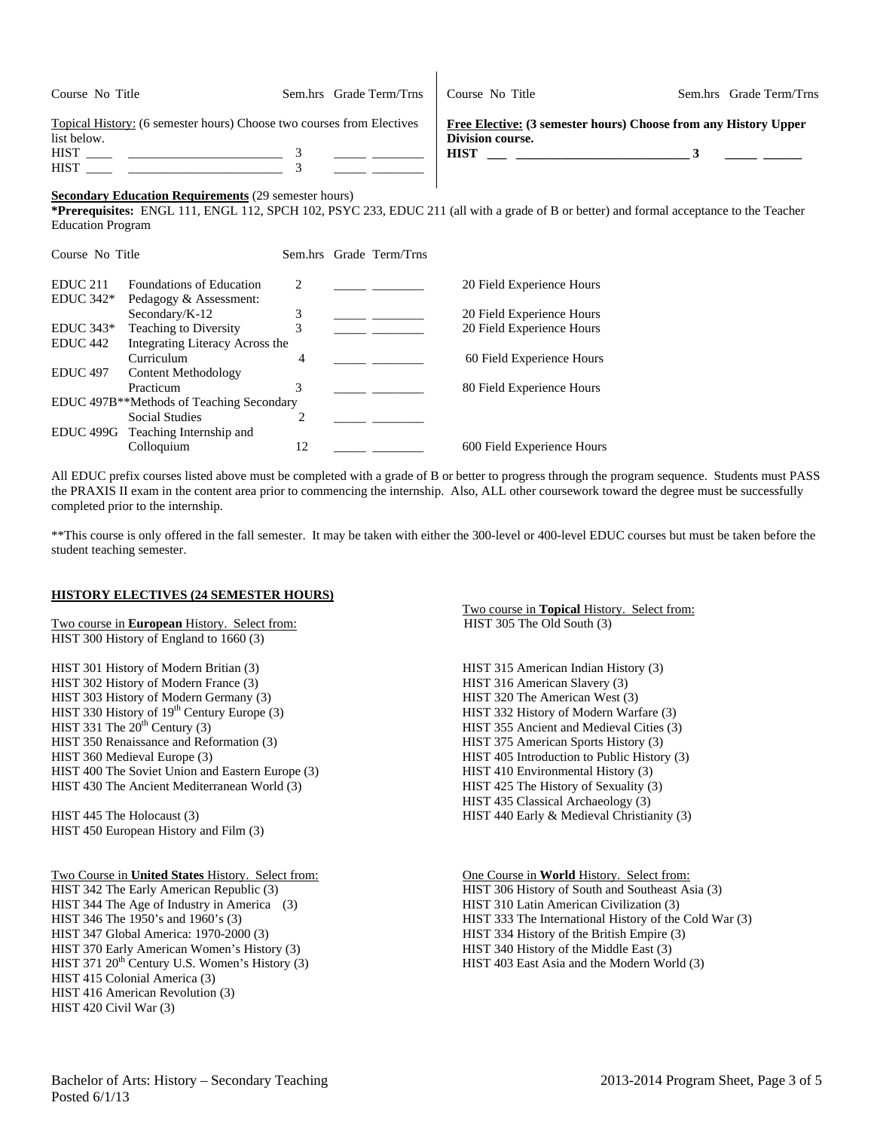| Course No Title                                                                                                    | Sem.hrs Grade Term/Trns | Course No Title                 | Sem.hrs Grade Term/Trns                                                                                                                      |
|--------------------------------------------------------------------------------------------------------------------|-------------------------|---------------------------------|----------------------------------------------------------------------------------------------------------------------------------------------|
| Topical History: (6 semester hours) Choose two courses from Electives<br>list below.<br><b>HIST</b><br><b>HIST</b> |                         | Division course.<br><b>HIST</b> | Free Elective: (3 semester hours) Choose from any History Upper                                                                              |
| <b>Secondary Education Requirements (29 semester hours)</b>                                                        |                         |                                 | * <b>Proroquigitos:</b> ENGL 111 ENGL 112 SDCH 102 DSVC 233 ENLIC 211 (all with a grade of B or better) and formal acceptance to the Teacher |

 $\mathbf{I}$ 

**\*Prerequisites:** ENGL 111, ENGL 112, SPCH 102, PSYC 233, EDUC 211 (all with a grade of B or better) and formal acceptance to the Teacher Education Program

| Course No Title     |                                                       |                               | Sem.hrs Grade Term/Trns |                            |
|---------------------|-------------------------------------------------------|-------------------------------|-------------------------|----------------------------|
| EDUC <sub>211</sub> | <b>Foundations of Education</b>                       | $\mathfrak{D}_{\mathfrak{p}}$ |                         | 20 Field Experience Hours  |
| $EDUC 342*$         | Pedagogy & Assessment:                                |                               |                         |                            |
|                     | Secondary/K-12                                        | 3                             |                         | 20 Field Experience Hours  |
| $EDUC 343*$         | Teaching to Diversity                                 | 3                             |                         | 20 Field Experience Hours  |
| EDUC <sub>442</sub> | Integrating Literacy Across the                       |                               |                         |                            |
|                     | Curriculum                                            | 4                             |                         | 60 Field Experience Hours  |
| <b>EDUC 497</b>     | Content Methodology                                   |                               |                         |                            |
|                     | Practicum                                             | 3                             |                         | 80 Field Experience Hours  |
|                     | EDUC 497B <sup>**</sup> Methods of Teaching Secondary |                               |                         |                            |
|                     | <b>Social Studies</b>                                 | $\mathfrak{D}_{\mathfrak{p}}$ |                         |                            |
|                     | EDUC 499G Teaching Internship and                     |                               |                         |                            |
|                     | Colloquium                                            | 12                            |                         | 600 Field Experience Hours |

All EDUC prefix courses listed above must be completed with a grade of B or better to progress through the program sequence. Students must PASS the PRAXIS II exam in the content area prior to commencing the internship. Also, ALL other coursework toward the degree must be successfully completed prior to the internship.

\*\*This course is only offered in the fall semester. It may be taken with either the 300-level or 400-level EDUC courses but must be taken before the student teaching semester.

### **HISTORY ELECTIVES (24 SEMESTER HOURS)**

Two course in **European** History. Select from: HIST 305 The Old South (3) HIST 300 History of England to 1660 (3)

HIST 301 History of Modern Britian (3) HIST 315 American Indian History (3) HIST 302 History of Modern France (3) HIST 316 American Slavery (3) HIST 303 History of Modern Germany (3) HIST 320 The American West (3) HIST 330 History of 19<sup>th</sup> Century Europe (3) HIST 332 History of Modern Warfare (3) HIST 331 The 20<sup>th</sup> Century (3) HIST 355 Ancient and Medieval Cities (3) HIST 350 Renaissance and Reformation (3) HIST 375 American Sports History (3) HIST 360 Medieval Europe (3) HIST 405 Introduction to Public History (3) HIST 400 The Soviet Union and Eastern Europe (3) HIST 410 Environmental History (3) HIST 430 The Ancient Mediterranean World (3) HIST 425 The History of Sexuality (3)

HIST 450 European History and Film (3)

HIST 344 The Age of Industry in America (3) HIST 310 Latin American Civilization (3) HIST 347 Global America: 1970-2000 (3) HIST 334 History of the British Empire (3) HIST 370 Early American Women's History (3) HIST 340 History of the Middle East (3) HIST 371 20<sup>th</sup> Century U.S. Women's History (3) HIST 403 East Asia and the Modern World (3) HIST 415 Colonial America (3) HIST 416 American Revolution (3) HIST 420 Civil War (3)

Two course in **Topical** History. Select from:

HIST 355 Ancient and Medieval Cities (3) HIST 435 Classical Archaeology (3) HIST 445 The Holocaust (3) HIST 440 Early & Medieval Christianity (3) HIST 446 Early & Medieval Christianity (3)

Two Course in **United States** History. Select from: One Course in **World** History. Select from: HIST 306 History of South and Southeast Asia (3) HIST 346 The 1950's and 1960's (3) HIST 333 The International History of the Cold War (3)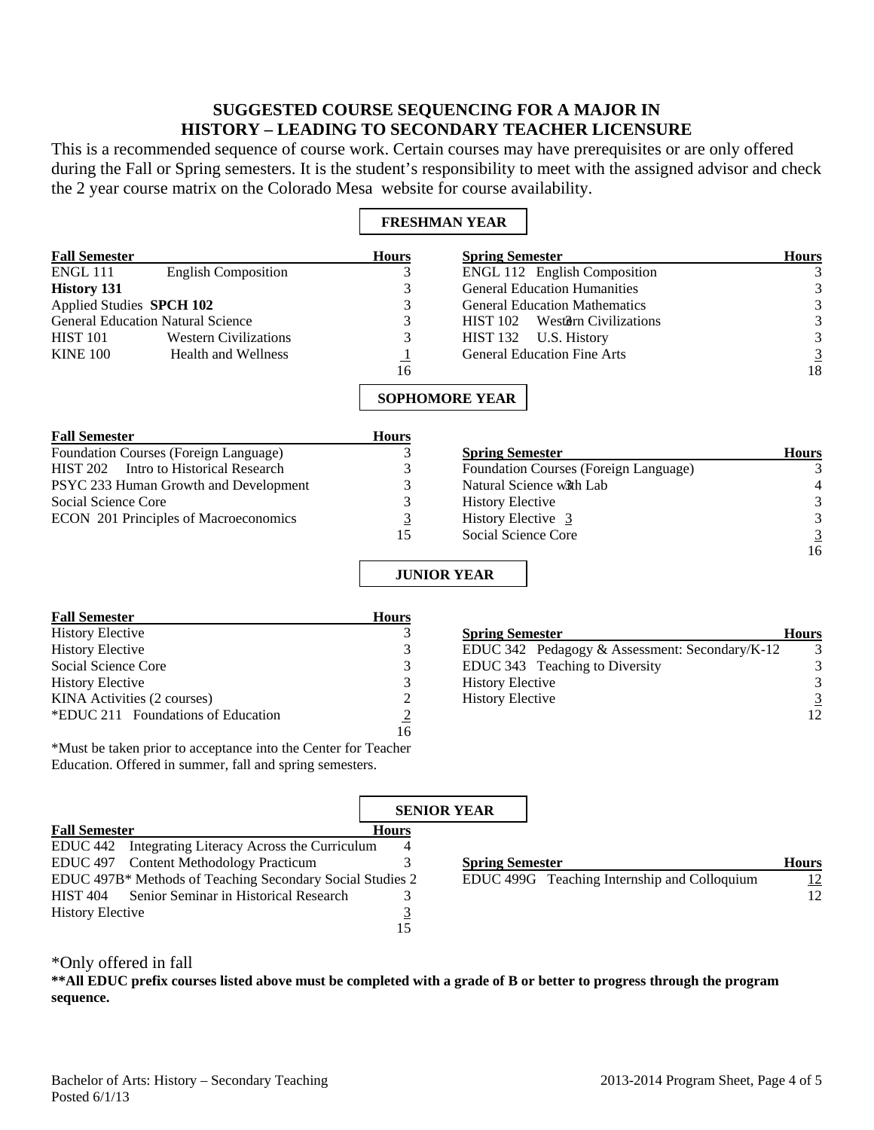# **SUGGESTED COURSE SEQUENCING FOR A MAJOR IN HISTORY – LEADING TO SECONDARY TEACHER LICENSURE**

This is a recommended sequence of course work. Certain courses may have prerequisites or are only offered during the Fall or Spring semesters. It is the student's responsibility to meet with the assigned advisor and check the 2 year course matrix on the Colorado Mesa website for course availability.

 $\overline{\mathbf{1}}$ 

 $\overline{\Gamma}$ 

|                                                 |                                                         | <b>FRESHMAN YEAR</b>                           |                                             |
|-------------------------------------------------|---------------------------------------------------------|------------------------------------------------|---------------------------------------------|
| <b>Fall Semester</b>                            | <b>Hours</b>                                            | <b>Spring Semester</b>                         | <b>Hours</b>                                |
| <b>English Composition</b><br><b>ENGL 111</b>   | 3                                                       | ENGL 112 English Composition                   | 3                                           |
| <b>History 131</b>                              | 3                                                       | <b>General Education Humanities</b>            | 3                                           |
| Applied Studies SPCH 102                        | 3                                                       | <b>General Education Mathematics</b>           | 3                                           |
| <b>General Education Natural Science</b>        | 3                                                       | <b>HIST 102</b><br>Western Civilizations       | $\mathfrak{Z}$                              |
| <b>HIST 101</b><br><b>Western Civilizations</b> | 3                                                       | <b>HIST 132</b><br>U.S. History                | $\begin{array}{c} 3 \\ 3 \\ 18 \end{array}$ |
| <b>KINE 100</b><br><b>Health and Wellness</b>   | $\perp$                                                 | <b>General Education Fine Arts</b>             |                                             |
|                                                 | 16                                                      |                                                |                                             |
|                                                 |                                                         | <b>SOPHOMORE YEAR</b>                          |                                             |
| <b>Fall Semester</b>                            | <b>Hours</b>                                            |                                                |                                             |
| <b>Foundation Courses (Foreign Language)</b>    | 3                                                       | <b>Spring Semester</b>                         | <b>Hours</b>                                |
| <b>HIST 202</b><br>Intro to Historical Research | 3                                                       | Foundation Courses (Foreign Language)          | 3                                           |
| PSYC 233 Human Growth and Development           | 3                                                       | Natural Science with Lab                       |                                             |
| <b>Social Science Core</b>                      | 3                                                       | <b>History Elective</b>                        | 3                                           |
| <b>ECON 201 Principles of Macroeconomics</b>    | $\overline{3}$                                          | History Elective 3                             |                                             |
|                                                 | 15                                                      | Social Science Core                            | $\begin{array}{c} 3 \\ 3 \\ 16 \end{array}$ |
|                                                 |                                                         |                                                |                                             |
|                                                 |                                                         | <b>JUNIOR YEAR</b>                             |                                             |
| <b>Fall Semester</b>                            | <b>Hours</b>                                            |                                                |                                             |
| <b>History Elective</b>                         | 3                                                       | <b>Spring Semester</b>                         | <b>Hours</b>                                |
| <b>History Elective</b>                         | 3                                                       | EDUC 342 Pedagogy & Assessment: Secondary/K-12 | 3                                           |
| <b>Social Science Core</b>                      | 3                                                       | EDUC 343 Teaching to Diversity                 | $\mathfrak{Z}$                              |
| <b>History Elective</b>                         | 3                                                       | <b>History Elective</b>                        | $\overline{3}$                              |
| KINA Activities (2 courses)                     |                                                         | <b>History Elective</b>                        |                                             |
| *EDUC 211 Foundations of Education              | $\begin{array}{c} 2 \\ \underline{2} \\ 16 \end{array}$ |                                                | 12                                          |
|                                                 |                                                         |                                                |                                             |

\*Must be taken prior to acceptance into the Center for Teacher Education. Offered in summer, fall and spring semesters.

|                                                           |              | <b>SENIOR YEAR</b>     |                                              |              |
|-----------------------------------------------------------|--------------|------------------------|----------------------------------------------|--------------|
| <b>Fall Semester</b>                                      | <b>Hours</b> |                        |                                              |              |
| EDUC 442 Integrating Literacy Across the Curriculum       |              |                        |                                              |              |
| EDUC 497 Content Methodology Practicum                    |              | <b>Spring Semester</b> |                                              | <b>Hours</b> |
| EDUC 497B* Methods of Teaching Secondary Social Studies 2 |              |                        | EDUC 499G Teaching Internship and Colloquium | <u>12</u>    |
| HIST 404 Senior Seminar in Historical Research            |              |                        |                                              | 12           |
| <b>History Elective</b>                                   |              |                        |                                              |              |
|                                                           | .5           |                        |                                              |              |

# \*Only offered in fall

**\*\*All EDUC prefix courses listed above must be completed with a grade of B or better to progress through the program sequence.**